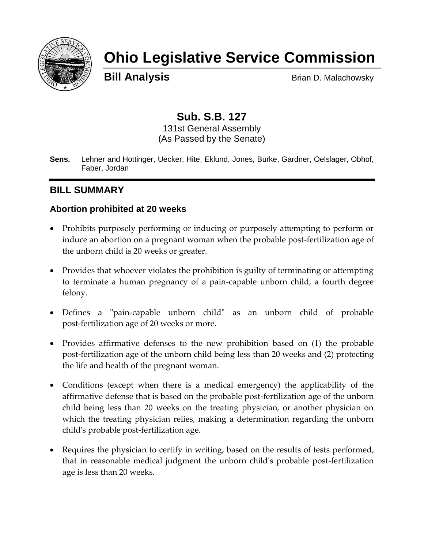

# **Ohio Legislative Service Commission**

**Bill Analysis** Brian D. Malachowsky

# **Sub. S.B. 127**

131st General Assembly (As Passed by the Senate)

**Sens.** Lehner and Hottinger, Uecker, Hite, Eklund, Jones, Burke, Gardner, Oelslager, Obhof, Faber, Jordan

## **BILL SUMMARY**

#### **Abortion prohibited at 20 weeks**

- Prohibits purposely performing or inducing or purposely attempting to perform or induce an abortion on a pregnant woman when the probable post-fertilization age of the unborn child is 20 weeks or greater.
- Provides that whoever violates the prohibition is guilty of terminating or attempting to terminate a human pregnancy of a pain-capable unborn child, a fourth degree felony.
- Defines a "pain-capable unborn child" as an unborn child of probable post-fertilization age of 20 weeks or more.
- Provides affirmative defenses to the new prohibition based on (1) the probable post-fertilization age of the unborn child being less than 20 weeks and (2) protecting the life and health of the pregnant woman.
- Conditions (except when there is a medical emergency) the applicability of the affirmative defense that is based on the probable post-fertilization age of the unborn child being less than 20 weeks on the treating physician, or another physician on which the treating physician relies, making a determination regarding the unborn child's probable post-fertilization age.
- Requires the physician to certify in writing, based on the results of tests performed, that in reasonable medical judgment the unborn child's probable post-fertilization age is less than 20 weeks.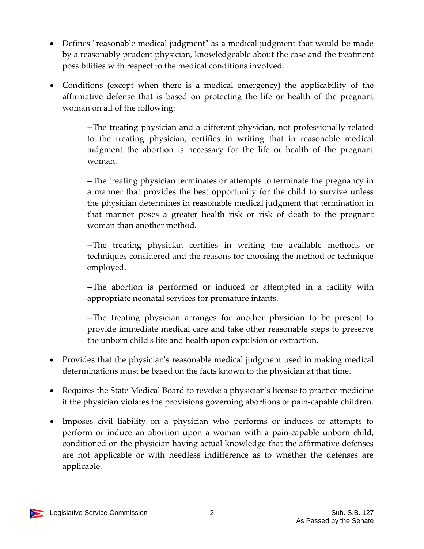- Defines "reasonable medical judgment" as a medical judgment that would be made by a reasonably prudent physician, knowledgeable about the case and the treatment possibilities with respect to the medical conditions involved.
- Conditions (except when there is a medical emergency) the applicability of the affirmative defense that is based on protecting the life or health of the pregnant woman on all of the following:

--The treating physician and a different physician, not professionally related to the treating physician, certifies in writing that in reasonable medical judgment the abortion is necessary for the life or health of the pregnant woman.

--The treating physician terminates or attempts to terminate the pregnancy in a manner that provides the best opportunity for the child to survive unless the physician determines in reasonable medical judgment that termination in that manner poses a greater health risk or risk of death to the pregnant woman than another method.

--The treating physician certifies in writing the available methods or techniques considered and the reasons for choosing the method or technique employed.

--The abortion is performed or induced or attempted in a facility with appropriate neonatal services for premature infants.

--The treating physician arranges for another physician to be present to provide immediate medical care and take other reasonable steps to preserve the unborn child's life and health upon expulsion or extraction.

- Provides that the physician's reasonable medical judgment used in making medical determinations must be based on the facts known to the physician at that time.
- Requires the State Medical Board to revoke a physician's license to practice medicine if the physician violates the provisions governing abortions of pain-capable children.
- Imposes civil liability on a physician who performs or induces or attempts to perform or induce an abortion upon a woman with a pain-capable unborn child, conditioned on the physician having actual knowledge that the affirmative defenses are not applicable or with heedless indifference as to whether the defenses are applicable.

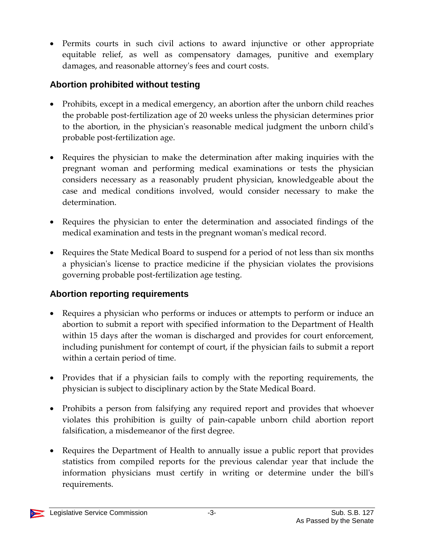Permits courts in such civil actions to award injunctive or other appropriate equitable relief, as well as compensatory damages, punitive and exemplary damages, and reasonable attorney's fees and court costs.

## **Abortion prohibited without testing**

- Prohibits, except in a medical emergency, an abortion after the unborn child reaches the probable post-fertilization age of 20 weeks unless the physician determines prior to the abortion, in the physician's reasonable medical judgment the unborn child's probable post-fertilization age.
- Requires the physician to make the determination after making inquiries with the pregnant woman and performing medical examinations or tests the physician considers necessary as a reasonably prudent physician, knowledgeable about the case and medical conditions involved, would consider necessary to make the determination.
- Requires the physician to enter the determination and associated findings of the medical examination and tests in the pregnant woman's medical record.
- Requires the State Medical Board to suspend for a period of not less than six months a physician's license to practice medicine if the physician violates the provisions governing probable post-fertilization age testing.

## **Abortion reporting requirements**

- Requires a physician who performs or induces or attempts to perform or induce an abortion to submit a report with specified information to the Department of Health within 15 days after the woman is discharged and provides for court enforcement, including punishment for contempt of court, if the physician fails to submit a report within a certain period of time.
- Provides that if a physician fails to comply with the reporting requirements, the physician is subject to disciplinary action by the State Medical Board.
- Prohibits a person from falsifying any required report and provides that whoever violates this prohibition is guilty of pain-capable unborn child abortion report falsification, a misdemeanor of the first degree.
- Requires the Department of Health to annually issue a public report that provides statistics from compiled reports for the previous calendar year that include the information physicians must certify in writing or determine under the bill's requirements.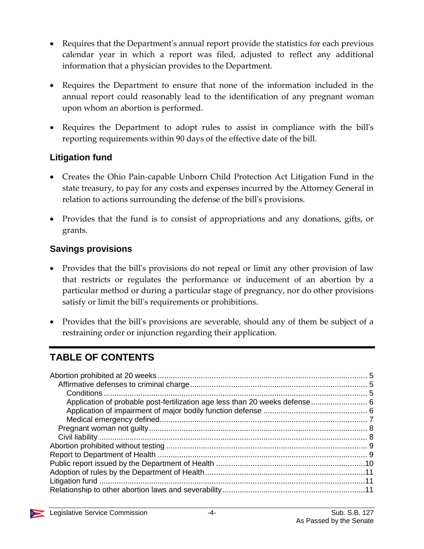- Requires that the Department's annual report provide the statistics for each previous calendar year in which a report was filed, adjusted to reflect any additional information that a physician provides to the Department.
- Requires the Department to ensure that none of the information included in the annual report could reasonably lead to the identification of any pregnant woman upon whom an abortion is performed.
- Requires the Department to adopt rules to assist in compliance with the bill's reporting requirements within 90 days of the effective date of the bill.

## **Litigation fund**

- Creates the Ohio Pain-capable Unborn Child Protection Act Litigation Fund in the state treasury, to pay for any costs and expenses incurred by the Attorney General in relation to actions surrounding the defense of the bill's provisions.
- Provides that the fund is to consist of appropriations and any donations, gifts, or grants.

#### **Savings provisions**

- Provides that the bill's provisions do not repeal or limit any other provision of law that restricts or regulates the performance or inducement of an abortion by a particular method or during a particular stage of pregnancy, nor do other provisions satisfy or limit the bill's requirements or prohibitions.
- Provides that the bill's provisions are severable, should any of them be subject of a restraining order or injunction regarding their application.

# **TABLE OF CONTENTS**

| Application of probable post-fertilization age less than 20 weeks defense 6 |  |
|-----------------------------------------------------------------------------|--|
|                                                                             |  |
|                                                                             |  |
|                                                                             |  |
|                                                                             |  |
|                                                                             |  |
|                                                                             |  |
|                                                                             |  |
|                                                                             |  |
|                                                                             |  |
|                                                                             |  |
|                                                                             |  |

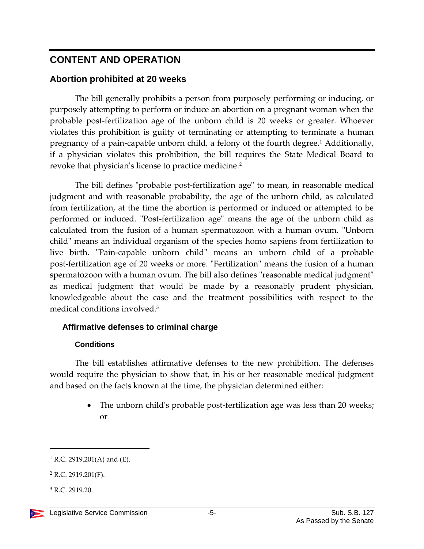# **CONTENT AND OPERATION**

## <span id="page-4-0"></span>**Abortion prohibited at 20 weeks**

The bill generally prohibits a person from purposely performing or inducing, or purposely attempting to perform or induce an abortion on a pregnant woman when the probable post-fertilization age of the unborn child is 20 weeks or greater. Whoever violates this prohibition is guilty of terminating or attempting to terminate a human pregnancy of a pain-capable unborn child, a felony of the fourth degree.<sup>1</sup> Additionally, if a physician violates this prohibition, the bill requires the State Medical Board to revoke that physician's license to practice medicine.<sup>2</sup>

The bill defines "probable post-fertilization age" to mean, in reasonable medical judgment and with reasonable probability, the age of the unborn child, as calculated from fertilization, at the time the abortion is performed or induced or attempted to be performed or induced. "Post-fertilization age" means the age of the unborn child as calculated from the fusion of a human spermatozoon with a human ovum. "Unborn child" means an individual organism of the species homo sapiens from fertilization to live birth. "Pain-capable unborn child" means an unborn child of a probable post-fertilization age of 20 weeks or more. "Fertilization" means the fusion of a human spermatozoon with a human ovum. The bill also defines "reasonable medical judgment" as medical judgment that would be made by a reasonably prudent physician, knowledgeable about the case and the treatment possibilities with respect to the medical conditions involved.<sup>3</sup>

## <span id="page-4-1"></span>**Affirmative defenses to criminal charge**

## **Conditions**

<span id="page-4-2"></span>The bill establishes affirmative defenses to the new prohibition. The defenses would require the physician to show that, in his or her reasonable medical judgment and based on the facts known at the time, the physician determined either:

> • The unborn child's probable post-fertilization age was less than 20 weeks; or

 $1$  R.C. 2919.201(A) and (E).

 $2$  R.C. 2919.201(F).

<sup>3</sup> R.C. 2919.20.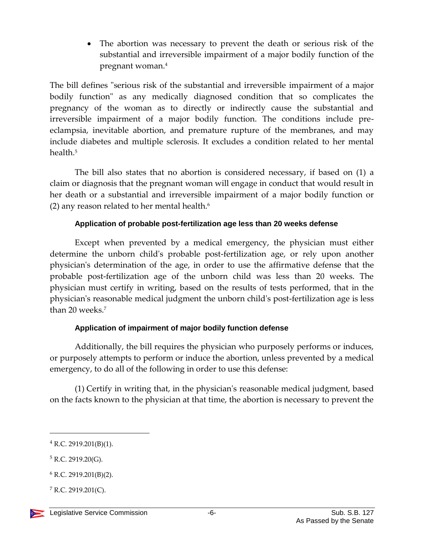The abortion was necessary to prevent the death or serious risk of the substantial and irreversible impairment of a major bodily function of the pregnant woman.<sup>4</sup>

The bill defines "serious risk of the substantial and irreversible impairment of a major bodily function" as any medically diagnosed condition that so complicates the pregnancy of the woman as to directly or indirectly cause the substantial and irreversible impairment of a major bodily function. The conditions include preeclampsia, inevitable abortion, and premature rupture of the membranes, and may include diabetes and multiple sclerosis. It excludes a condition related to her mental health.<sup>5</sup>

The bill also states that no abortion is considered necessary, if based on (1) a claim or diagnosis that the pregnant woman will engage in conduct that would result in her death or a substantial and irreversible impairment of a major bodily function or (2) any reason related to her mental health. $6$ 

#### **Application of probable post-fertilization age less than 20 weeks defense**

<span id="page-5-0"></span>Except when prevented by a medical emergency, the physician must either determine the unborn child's probable post-fertilization age, or rely upon another physician's determination of the age, in order to use the affirmative defense that the probable post-fertilization age of the unborn child was less than 20 weeks. The physician must certify in writing, based on the results of tests performed, that in the physician's reasonable medical judgment the unborn child's post-fertilization age is less than 20 weeks.<sup>7</sup>

#### **Application of impairment of major bodily function defense**

<span id="page-5-1"></span>Additionally, the bill requires the physician who purposely performs or induces, or purposely attempts to perform or induce the abortion, unless prevented by a medical emergency, to do all of the following in order to use this defense:

(1) Certify in writing that, in the physician's reasonable medical judgment, based on the facts known to the physician at that time, the abortion is necessary to prevent the

 $4$  R.C. 2919.201(B)(1).

 $5$  R.C. 2919.20(G).

 $6$  R.C. 2919.201(B)(2).

 $7$  R.C. 2919.201(C).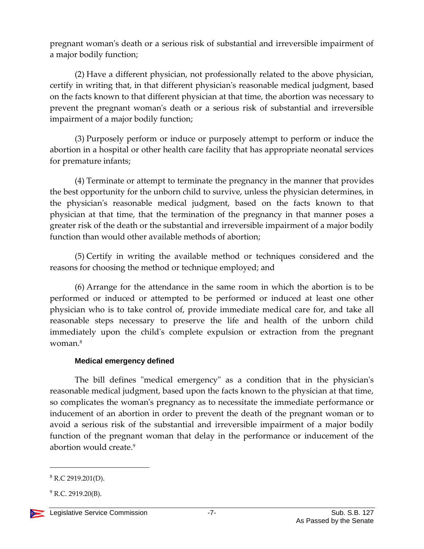pregnant woman's death or a serious risk of substantial and irreversible impairment of a major bodily function;

(2) Have a different physician, not professionally related to the above physician, certify in writing that, in that different physician's reasonable medical judgment, based on the facts known to that different physician at that time, the abortion was necessary to prevent the pregnant woman's death or a serious risk of substantial and irreversible impairment of a major bodily function;

(3) Purposely perform or induce or purposely attempt to perform or induce the abortion in a hospital or other health care facility that has appropriate neonatal services for premature infants;

(4) Terminate or attempt to terminate the pregnancy in the manner that provides the best opportunity for the unborn child to survive, unless the physician determines, in the physician's reasonable medical judgment, based on the facts known to that physician at that time, that the termination of the pregnancy in that manner poses a greater risk of the death or the substantial and irreversible impairment of a major bodily function than would other available methods of abortion;

(5) Certify in writing the available method or techniques considered and the reasons for choosing the method or technique employed; and

(6) Arrange for the attendance in the same room in which the abortion is to be performed or induced or attempted to be performed or induced at least one other physician who is to take control of, provide immediate medical care for, and take all reasonable steps necessary to preserve the life and health of the unborn child immediately upon the child's complete expulsion or extraction from the pregnant woman.<sup>8</sup>

#### **Medical emergency defined**

<span id="page-6-0"></span>The bill defines "medical emergency" as a condition that in the physician's reasonable medical judgment, based upon the facts known to the physician at that time, so complicates the woman's pregnancy as to necessitate the immediate performance or inducement of an abortion in order to prevent the death of the pregnant woman or to avoid a serious risk of the substantial and irreversible impairment of a major bodily function of the pregnant woman that delay in the performance or inducement of the abortion would create.<sup>9</sup>

 $9$  R.C. 2919.20(B).



 $8$  R.C 2919.201(D).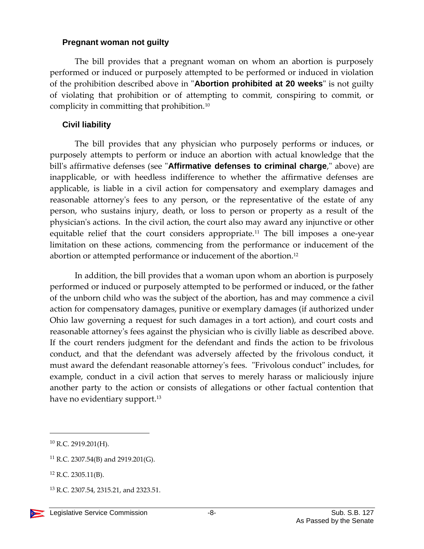#### <span id="page-7-0"></span>**Pregnant woman not guilty**

The bill provides that a pregnant woman on whom an abortion is purposely performed or induced or purposely attempted to be performed or induced in violation of the prohibition described above in "**Abortion prohibited at 20 weeks**" is not guilty of violating that prohibition or of attempting to commit, conspiring to commit, or complicity in committing that prohibition.<sup>10</sup>

#### <span id="page-7-1"></span>**Civil liability**

The bill provides that any physician who purposely performs or induces, or purposely attempts to perform or induce an abortion with actual knowledge that the bill's affirmative defenses (see "**Affirmative defenses to criminal charge**," above) are inapplicable, or with heedless indifference to whether the affirmative defenses are applicable, is liable in a civil action for compensatory and exemplary damages and reasonable attorney's fees to any person, or the representative of the estate of any person, who sustains injury, death, or loss to person or property as a result of the physician's actions. In the civil action, the court also may award any injunctive or other equitable relief that the court considers appropriate.<sup>11</sup> The bill imposes a one-year limitation on these actions, commencing from the performance or inducement of the abortion or attempted performance or inducement of the abortion.<sup>12</sup>

In addition, the bill provides that a woman upon whom an abortion is purposely performed or induced or purposely attempted to be performed or induced, or the father of the unborn child who was the subject of the abortion, has and may commence a civil action for compensatory damages, punitive or exemplary damages (if authorized under Ohio law governing a request for such damages in a tort action), and court costs and reasonable attorney's fees against the physician who is civilly liable as described above. If the court renders judgment for the defendant and finds the action to be frivolous conduct, and that the defendant was adversely affected by the frivolous conduct, it must award the defendant reasonable attorney's fees. "Frivolous conduct" includes, for example, conduct in a civil action that serves to merely harass or maliciously injure another party to the action or consists of allegations or other factual contention that have no evidentiary support.<sup>13</sup>

<sup>10</sup> R.C. 2919.201(H).

<sup>11</sup> R.C. 2307.54(B) and 2919.201(G).

 $12$  R.C. 2305.11(B).

<sup>&</sup>lt;sup>13</sup> R.C. 2307.54, 2315.21, and 2323.51.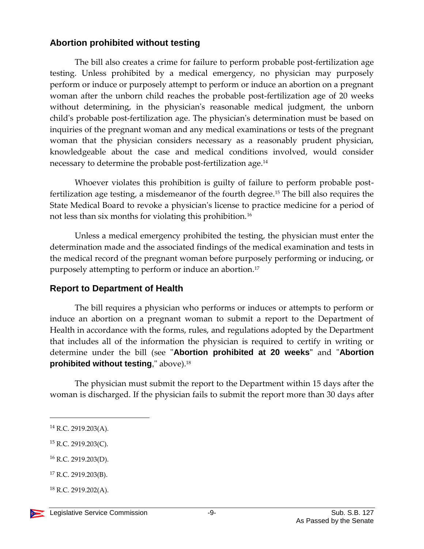### <span id="page-8-0"></span>**Abortion prohibited without testing**

The bill also creates a crime for failure to perform probable post-fertilization age testing. Unless prohibited by a medical emergency, no physician may purposely perform or induce or purposely attempt to perform or induce an abortion on a pregnant woman after the unborn child reaches the probable post-fertilization age of 20 weeks without determining, in the physician's reasonable medical judgment, the unborn child's probable post-fertilization age. The physician's determination must be based on inquiries of the pregnant woman and any medical examinations or tests of the pregnant woman that the physician considers necessary as a reasonably prudent physician, knowledgeable about the case and medical conditions involved, would consider necessary to determine the probable post-fertilization age.<sup>14</sup>

Whoever violates this prohibition is guilty of failure to perform probable postfertilization age testing, a misdemeanor of the fourth degree.<sup>15</sup> The bill also requires the State Medical Board to revoke a physician's license to practice medicine for a period of not less than six months for violating this prohibition.<sup>16</sup>

Unless a medical emergency prohibited the testing, the physician must enter the determination made and the associated findings of the medical examination and tests in the medical record of the pregnant woman before purposely performing or inducing, or purposely attempting to perform or induce an abortion.<sup>17</sup>

#### <span id="page-8-1"></span>**Report to Department of Health**

The bill requires a physician who performs or induces or attempts to perform or induce an abortion on a pregnant woman to submit a report to the Department of Health in accordance with the forms, rules, and regulations adopted by the Department that includes all of the information the physician is required to certify in writing or determine under the bill (see "**Abortion prohibited at 20 weeks"** and "**Abortion prohibited without testing**," above).<sup>18</sup>

The physician must submit the report to the Department within 15 days after the woman is discharged. If the physician fails to submit the report more than 30 days after

 $\overline{a}$ 

<sup>16</sup> R.C. 2919.203(D).

<sup>14</sup> R.C. 2919.203(A).

 $15$  R.C. 2919.203(C).

<sup>17</sup> R.C. 2919.203(B).

 $18$  R.C. 2919.202(A).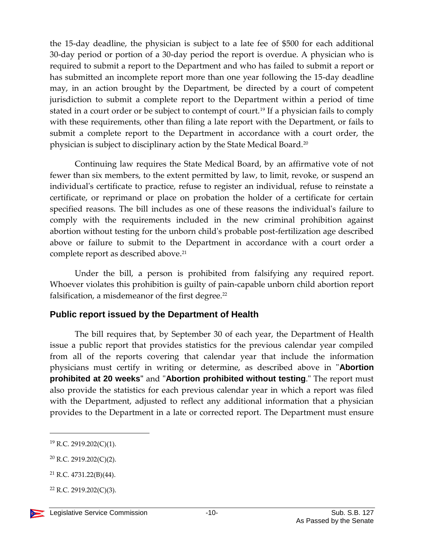the 15-day deadline, the physician is subject to a late fee of \$500 for each additional 30-day period or portion of a 30-day period the report is overdue. A physician who is required to submit a report to the Department and who has failed to submit a report or has submitted an incomplete report more than one year following the 15-day deadline may, in an action brought by the Department, be directed by a court of competent jurisdiction to submit a complete report to the Department within a period of time stated in a court order or be subject to contempt of court.<sup>19</sup> If a physician fails to comply with these requirements, other than filing a late report with the Department, or fails to submit a complete report to the Department in accordance with a court order, the physician is subject to disciplinary action by the State Medical Board.<sup>20</sup>

Continuing law requires the State Medical Board, by an affirmative vote of not fewer than six members, to the extent permitted by law, to limit, revoke, or suspend an individual's certificate to practice, refuse to register an individual, refuse to reinstate a certificate, or reprimand or place on probation the holder of a certificate for certain specified reasons. The bill includes as one of these reasons the individual's failure to comply with the requirements included in the new criminal prohibition against abortion without testing for the unborn child's probable post-fertilization age described above or failure to submit to the Department in accordance with a court order a complete report as described above.<sup>21</sup>

Under the bill, a person is prohibited from falsifying any required report. Whoever violates this prohibition is guilty of pain-capable unborn child abortion report falsification, a misdemeanor of the first degree.<sup>22</sup>

## <span id="page-9-0"></span>**Public report issued by the Department of Health**

The bill requires that, by September 30 of each year, the Department of Health issue a public report that provides statistics for the previous calendar year compiled from all of the reports covering that calendar year that include the information physicians must certify in writing or determine, as described above in "**Abortion prohibited at 20 weeks"** and "**Abortion prohibited without testing**." The report must also provide the statistics for each previous calendar year in which a report was filed with the Department, adjusted to reflect any additional information that a physician provides to the Department in a late or corrected report. The Department must ensure

<sup>19</sup> R.C. 2919.202(C)(1).

<sup>20</sup> R.C. 2919.202(C)(2).

 $21$  R.C. 4731.22(B)(44).

 $22$  R.C. 2919.202(C)(3).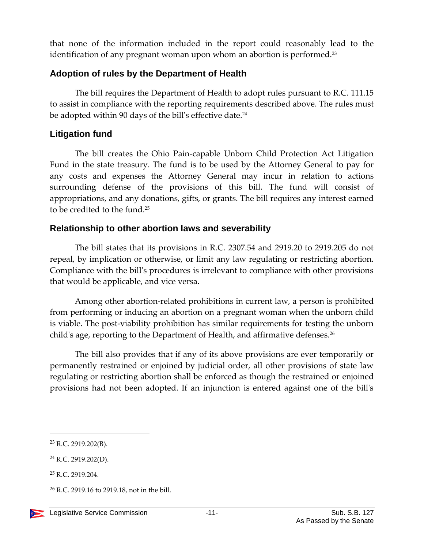that none of the information included in the report could reasonably lead to the identification of any pregnant woman upon whom an abortion is performed.<sup>23</sup>

## <span id="page-10-0"></span>**Adoption of rules by the Department of Health**

The bill requires the Department of Health to adopt rules pursuant to R.C. 111.15 to assist in compliance with the reporting requirements described above. The rules must be adopted within 90 days of the bill's effective date.<sup>24</sup>

## <span id="page-10-1"></span>**Litigation fund**

The bill creates the Ohio Pain-capable Unborn Child Protection Act Litigation Fund in the state treasury. The fund is to be used by the Attorney General to pay for any costs and expenses the Attorney General may incur in relation to actions surrounding defense of the provisions of this bill. The fund will consist of appropriations, and any donations, gifts, or grants. The bill requires any interest earned to be credited to the fund.<sup>25</sup>

## <span id="page-10-2"></span>**Relationship to other abortion laws and severability**

The bill states that its provisions in R.C. 2307.54 and 2919.20 to 2919.205 do not repeal, by implication or otherwise, or limit any law regulating or restricting abortion. Compliance with the bill's procedures is irrelevant to compliance with other provisions that would be applicable, and vice versa.

Among other abortion-related prohibitions in current law, a person is prohibited from performing or inducing an abortion on a pregnant woman when the unborn child is viable. The post-viability prohibition has similar requirements for testing the unborn child's age, reporting to the Department of Health, and affirmative defenses.<sup>26</sup>

The bill also provides that if any of its above provisions are ever temporarily or permanently restrained or enjoined by judicial order, all other provisions of state law regulating or restricting abortion shall be enforced as though the restrained or enjoined provisions had not been adopted. If an injunction is entered against one of the bill's

<sup>23</sup> R.C. 2919.202(B).

<sup>24</sup> R.C. 2919.202(D).

<sup>25</sup> R.C. 2919.204.

 $26$  R.C. 2919.16 to 2919.18, not in the bill.